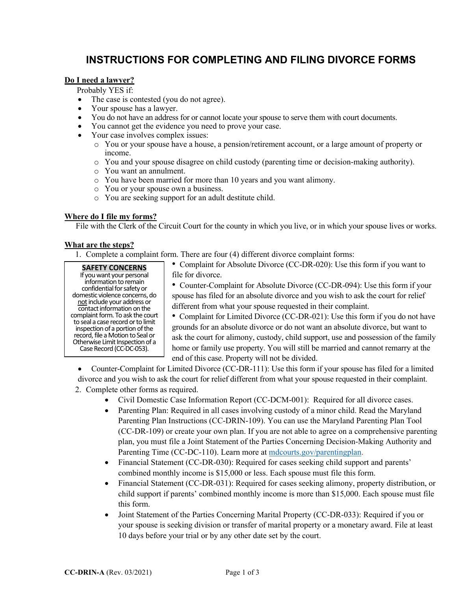## **INSTRUCTIONS FOR COMPLETING AND FILING DIVORCE FORMS**

### **Do I need a lawyer?**

Probably YES if:

- The case is contested (you do not agree).
- Your spouse has a lawyer.
- You do not have an address for or cannot locate your spouse to serve them with court documents.
- You cannot get the evidence you need to prove your case.
- Your case involves complex issues:
	- o You or your spouse have a house, a pension/retirement account, or a large amount of property or income.
	- o You and your spouse disagree on child custody (parenting time or decision-making authority).
	- o You want an annulment.
	- o You have been married for more than 10 years and you want alimony.
	- o You or your spouse own a business.
	- o You are seeking support for an adult destitute child.

### **Where do I file my forms?**

File with the Clerk of the Circuit Court for the county in which you live, or in which your spouse lives or works.

### **What are the steps?**

1. Complete a complaint form. There are four (4) different divorce complaint forms:

**SAFETY CONCERNS** If you want your personal information to remain confidential for safety or domestic violence concerns, do not include your address or contact information on the complaint form.To ask the court to seal a case record or to limit inspection of a portion of the record, file a Motion to Seal or Otherwise Limit Inspection of a Case Record (CC-DC-053).

• Complaint for Absolute Divorce (CC-DR-020): Use this form if you want to file for divorce.

• Counter-Complaint for Absolute Divorce (CC-DR-094): Use this form if your spouse has filed for an absolute divorce and you wish to ask the court for relief different from what your spouse requested in their complaint.

• Complaint for Limited Divorce (CC-DR-021): Use this form if you do not have grounds for an absolute divorce or do not want an absolute divorce, but want to ask the court for alimony, custody, child support, use and possession of the family home or family use property. You will still be married and cannot remarry at the end of this case. Property will not be divided.

• Counter-Complaint for Limited Divorce (CC-DR-111): Use this form if your spouse has filed for a limited

divorce and you wish to ask the court for relief different from what your spouse requested in their complaint.

2. Complete other forms as required.

- Civil Domestic Case Information Report (CC-DCM-001): Required for all divorce cases.
- Parenting Plan: Required in all cases involving custody of a minor child. Read the Maryland Parenting Plan Instructions (CC-DRIN-109). You can use the Maryland Parenting Plan Tool (CC-DR-109) or create your own plan. If you are not able to agree on a comprehensive parenting plan, you must file a Joint Statement of the Parties Concerning Decision-Making Authority and Parenting Time (CC-DC-110). Learn more at [mdcourts.gov/parentingplan.](https://mdcourts.gov/family/parentingplans)
- Financial Statement (CC-DR-030): Required for cases seeking child support and parents' combined monthly income is \$15,000 or less. Each spouse must file this form.
- Financial Statement (CC-DR-031): Required for cases seeking alimony, property distribution, or child support if parents' combined monthly income is more than \$15,000. Each spouse must file this form.
- Joint Statement of the Parties Concerning Marital Property (CC-DR-033): Required if you or your spouse is seeking division or transfer of marital property or a monetary award. File at least 10 days before your trial or by any other date set by the court.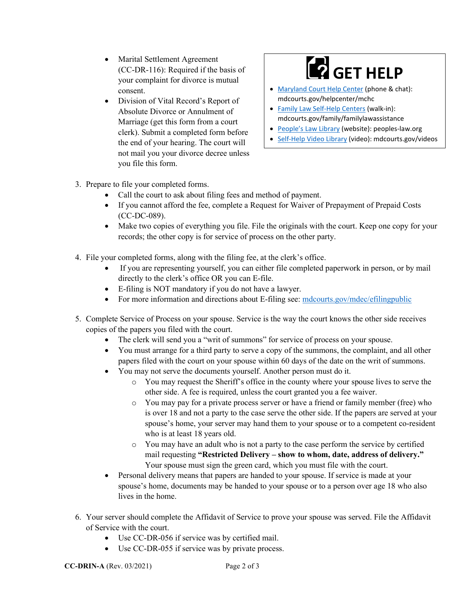- Marital Settlement Agreement (CC-DR-116): Required if the basis of your complaint for divorce is mutual consent.
- Division of Vital Record's Report of Absolute Divorce or Annulment of Marriage (get this form from a court clerk). Submit a completed form before the end of your hearing. The court will not mail you your divorce decree unless you file this form.

# **GET HELP**

- [Maryland Court](https://mdcourts.gov/selfhelp/mcshc) Help Center (phone & chat): mdcourts.gov/helpcenter/mchc
- [Family Law Self-Help Centers](https://mdcourts.gov/family/familylawassistance) (walk-in): mdcourts.gov/family/familylawassistance
- [People's Law Library](https://www.peoples-law.org/cat/family-law/divorce) (website): peoples-law.org
- [Self-Help Video Library](https://mdcourts.gov/reference/videolibrary) (video): mdcourts.gov/videos

- 3. Prepare to file your completed forms.
	- Call the court to ask about filing fees and method of payment.
	- If you cannot afford the fee, complete a Request for Waiver of Prepayment of Prepaid Costs (CC-DC-089).
	- Make two copies of everything you file. File the originals with the court. Keep one copy for your records; the other copy is for service of process on the other party.
- 4. File your completed forms, along with the filing fee, at the clerk's office.
	- If you are representing yourself, you can either file completed paperwork in person, or by mail directly to the clerk's office OR you can E-file.
	- E-filing is NOT mandatory if you do not have a lawyer.
	- For more information and directions about E-filing see: [mdcourts.gov/mdec/efilingpublic](https://mdcourts.gov/mdec/efilingpublic)
- 5. Complete Service of Process on your spouse. Service is the way the court knows the other side receives copies of the papers you filed with the court.
	- The clerk will send you a "writ of summons" for service of process on your spouse.
	- You must arrange for a third party to serve a copy of the summons, the complaint, and all other papers filed with the court on your spouse within 60 days of the date on the writ of summons.
	- You may not serve the documents yourself. Another person must do it.
		- o You may request the Sheriff's office in the county where your spouse lives to serve the other side. A fee is required, unless the court granted you a fee waiver.
		- o You may pay for a private process server or have a friend or family member (free) who is over 18 and not a party to the case serve the other side. If the papers are served at your spouse's home, your server may hand them to your spouse or to a competent co-resident who is at least 18 years old.
		- o You may have an adult who is not a party to the case perform the service by certified mail requesting **"Restricted Delivery – show to whom, date, address of delivery."** Your spouse must sign the green card, which you must file with the court.
	- Personal delivery means that papers are handed to your spouse. If service is made at your spouse's home, documents may be handed to your spouse or to a person over age 18 who also lives in the home.
- 6. Your server should complete the Affidavit of Service to prove your spouse was served. File the Affidavit of Service with the court.
	- Use CC-DR-056 if service was by certified mail.
	- Use CC-DR-055 if service was by private process.